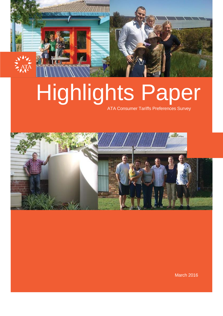

# Highlights Paper

ATA Consumer Tariffs Preferences Survey



March 2016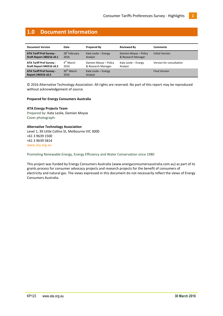# <span id="page-1-0"></span>**1.0 Document Information**

| <b>Document Version</b>                               | Date                           | <b>Prepared By</b>              | <b>Reviewed By</b>    | <b>Comments</b>          |
|-------------------------------------------------------|--------------------------------|---------------------------------|-----------------------|--------------------------|
| <b>ATA Tariff Pref Survey -</b>                       | 28 <sup>n</sup> February       | Kate Leslie - Energy            | Damien Moyse - Policy | <b>Initial Version</b>   |
| Draft Report 280216 v0.1                              | 2016                           | Analyst                         | & Research Manager    |                          |
| <b>ATA Tariff Pref Survey -</b>                       | $4^{\text{th}}$ March          | Damien Moyse - Policy           | Kate Leslie - Energy  | Version for consultation |
| Draft Report 040316 v0.2                              | 2016                           | & Research Manager              | Analyst               |                          |
| <b>ATA Tariff Pref Survey -</b><br>Report 240316 v0.3 | 30 <sup>th</sup> March<br>2016 | Kate Leslie - Energy<br>Analyst |                       | <b>Final Version</b>     |

© 2016 Alternative Technology Association. All rights are reserved. No part of this report may be reproduced without acknowledgement of source.

#### **Prepared for Energy Consumers Australia**

#### **ATA Energy Projects Team**

Prepared by: Kate Leslie, Damien Moyse Cover photograph:

#### **Alternative Technology Association**

Level 1, 39 Little Collins St, Melbourne VIC 3000 +61 3 9639 1500 +61 3 9639 5814 [www.ata.org.au](file://ataserv02/files/7%20Policy%20and%20Projects/Energy/Reference%20Docs/www.ata.org.au)

Promoting Renewable Energy, Energy Efficiency and Water Conservation since 1980

This project was funded by Energy Consumers Australia [\(www.energyconsumersaustralia.com.au\)](https://webmail.ata.org.au/owa/redir.aspx?SURL=SxApb-RSsgvBYdwsmArvH58Km7OGRQIZwN8qEwBsZQ0xjYFd4CbTCGgAdAB0AHAAOgAvAC8AdwB3AHcALgBlAG4AZQByAGcAeQBjAG8AbgBzAHUAbQBlAHIAcwBhAHUAcwB0AHIAYQBsAGkAYQAuAGMAbwBtAC4AYQB1AA..&URL=http%3a%2f%2fwww.energyconsumersaustralia.com.au) as part of its grants process for consumer advocacy projects and research projects for the benefit of consumers of electricity and natural gas. The views expressed in this document do not necessarily reflect the views of Energy Consumers Australia.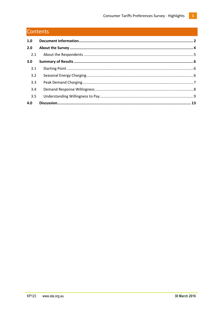# Contents

| 1.0 |  |
|-----|--|
| 2.0 |  |
| 2.1 |  |
| 3.0 |  |
| 3.1 |  |
| 3.2 |  |
| 3.3 |  |
| 3.4 |  |
| 3.5 |  |
| 4.0 |  |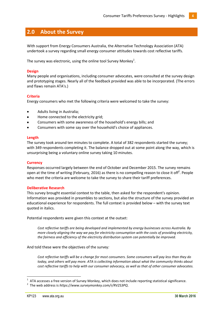# <span id="page-3-0"></span>**2.0 About the Survey**

With support from Energy Consumers Australia, the Alternative Technology Association (ATA) undertook a survey regarding small energy consumer attitudes towards cost reflective tariffs.

The survey was electronic, using the online tool Survey Monkey $^1$ .

#### **Design**

Many people and organisations, including consumer advocates, were consulted at the survey design and prototyping stages. Nearly all of the feedback provided was able to be incorporated. (The errors and flaws remain ATA's.)

#### **Criteria**

Energy consumers who met the following criteria were welcomed to take the survey:

- $\bullet$ Adults living in Australia;
- Home connected to the electricity grid;
- Consumers with some awareness of the household's energy bills; and
- Consumers with some say over the household's choice of appliances.

#### **Length**

The survey took around ten minutes to complete. A total of 382 respondents started the survey; with 349 respondents completing it. The balance dropped out at some point along the way, which is unsurprising being a voluntary online survey taking 10 minutes.

#### **Currency**

Responses occurred largely between the end of October and December 2015. The survey remains open at the time of writing (February, 2016) as there is no compelling reason to close it off<sup>2</sup>. People who meet the criteria are welcome to take the survey to share their tariff preferences.

#### **Deliberative Research**

This survey brought essential context to the table, then asked for the respondent's opinion. Information was provided in preambles to sections, but also the structure of the survey provided an educational experience for respondents. The full context is provided below – with the survey text quoted in italics.

Potential respondents were given this context at the outset:

*Cost reflective tariffs are being developed and implemented by energy businesses across Australia. By more closely aligning the way we pay for electricity consumption with the costs of providing electricity, the fairness and efficiency of the electricity distribution system can potentially be improved.*

#### And told these were the objectives of the survey*:*

*Cost reflective tariffs will be a change for most consumers. Some consumers will pay less than they do today, and others will pay more. ATA is collecting information about what the community thinks about cost reflective tariffs to help with our consumer advocacy, as well as that of other consumer advocates.* 

 $\overline{a}$ 

<sup>1</sup> ATA accesses a free version of Survey Monkey, which does not include reporting statistical significance.

<sup>2</sup> The web address is *https://www.surveymonkey.com/r/RV2S3PQ*.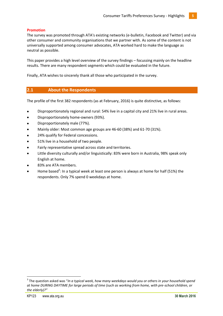#### **Promotion**

The survey was promoted through ATA's existing networks (e-bulletin, Facebook and Twitter) and via other consumer and community organisations that we partner with. As some of the content is not universally supported among consumer advocates, ATA worked hard to make the language as neutral as possible.

This paper provides a high level overview of the survey findings – focussing mainly on the headline results. There are many respondent segments which could be evaluated in the future.

Finally, ATA wishes to sincerely thank all those who participated in the survey.

#### <span id="page-4-0"></span>**2.1 About the Respondents**

The profile of the first 382 respondents (as at February, 2016) is quite distinctive, as follows:

- Disproportionately regional and rural: 54% live in a capital city and 21% live in rural areas.
- Disproportionately home-owners (93%).
- Disproportionately male (77%).
- Mainly older: Most common age groups are 46-60 (38%) and 61-70 (31%).
- 24% qualify for Federal concessions.
- 51% live in a household of two people.
- Fairly representative spread across state and territories.
- Little diversity culturally and/or linguistically: 83% were born in Australia, 98% speak only English at home.
- 83% are ATA members.
- Home based<sup>3</sup>: In a typical week at least one person is always at home for half (51%) the respondents. Only 7% spend 0 weekdays at home.

 $\overline{a}$ 

<sup>&</sup>lt;sup>3</sup> The question asked was "In a typical week, how many weekdays would you or others in your household spend *at home DURING DAYTIME for large periods of time (such as working from home, with pre-school children, or the elderly)?"*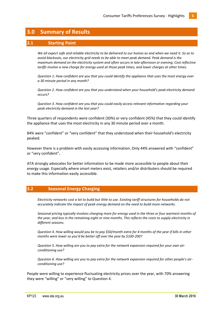## <span id="page-5-0"></span>**3.0 Summary of Results**

#### <span id="page-5-1"></span>**3.1 Starting Point**

*We all expect safe and reliable electricity to be delivered to our homes as and when we need it. So as to avoid blackouts, our electricity grid needs to be able to meet peak demand. Peak demand is the maximum demand on the electricity system and often occurs in late afternoon or evening. Cost reflective tariffs involve a new charge for energy used at those peak times, and lower charges at other times.*

*Question 1: How confident are you that you could identify the appliance that uses the most energy over a 30 minute period in any month?*

*Question 2. How confident are you that you understand when your household's peak electricity demand occurs?*

*Question 3. How confident are you that you could easily access relevant information regarding your peak electricity demand in the last year?*

Three quarters of respondents were confident (30%) or very confident (45%) that they could identify the appliance that uses the most electricity in any 30 minute period over a month.

84% were "confident" or "very confident" that they understood when their household's electricity peaked.

However there is a problem with easily accessing information. Only 44% answered with "confident" or "very confident"**.** 

ATA strongly advocates for better information to be made more accessible to people about their energy usage. Especially where smart meters exist, retailers and/or distributers should be required to make this information easily accessible.

#### <span id="page-5-2"></span>**3.2 Seasonal Energy Charging**

*Electricity networks cost a lot to build but little to use. Existing tariff structures for households do not accurately indicate the impact of peak energy demand on the need to build more networks.* 

*Seasonal pricing typically involves charging more for energy used in the three or four warmest months of the year, and less in the remaining eight or nine months. This reflects the costs to supply electricity in different seasons.* 

*Question 4. How willing would you be to pay \$50/month extra for 4 months of the year if bills in other months were lower so you'd be better off over the year by \$100-200?*

*Question 5. How willing are you to pay extra for the network expansion required for your own airconditioning use?*

*Question 6. How willing are you to pay extra for the network expansion required for other people's airconditioning use?*

People were willing to experience fluctuating electricity prices over the year, with 70% answering they were "willing" or "very willing" to Question 4.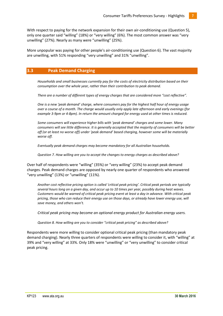With respect to paying for the network expansion for their own air-conditioning use (Question 5), only one quarter said "willing" (18%) or "very willing" (6%). The most common answer was "very unwilling" (27%). Nearly as many were "unwilling" (25%).

More unpopular was paying for other people's air-conditioning use (Question 6). The vast majority are unwilling, with 51% responding "very unwilling" and 31% "unwilling".

#### <span id="page-6-0"></span>**3.3 Peak Demand Charging**

*[Households and small businesses currently pay for the costs of electricity distribution based on their](https://www.surveymonkey.net/MySurvey_EditPage.aspx?sm=nRr8y5YJN0iC%2B%2B5JmgSOWauc3PelGRLQ073%2F1A6YZPJUGhZO77f31pXRZ0uuKcee&TB_iframe=true&height=450&width=650)  [consumption over the whole year, rather than their contribution to peak demand.](https://www.surveymonkey.net/MySurvey_EditPage.aspx?sm=nRr8y5YJN0iC%2B%2B5JmgSOWauc3PelGRLQ073%2F1A6YZPJUGhZO77f31pXRZ0uuKcee&TB_iframe=true&height=450&width=650)*

*[There are a number of different types of energy charges that are considered more "cost reflective".](https://www.surveymonkey.net/MySurvey_EditPage.aspx?sm=nRr8y5YJN0iC%2B%2B5JmgSOWauc3PelGRLQ073%2F1A6YZPJUGhZO77f31pXRZ0uuKcee&TB_iframe=true&height=450&width=650)* 

*One is a new 'peak demand' charge[, where consumers pay for the highest half hour of energy usage](https://www.surveymonkey.net/MySurvey_EditPage.aspx?sm=nRr8y5YJN0iC%2B%2B5JmgSOWauc3PelGRLQ073%2F1A6YZPJUGhZO77f31pXRZ0uuKcee&TB_iframe=true&height=450&width=650)  [over a course of a month. The charge would usually only apply late afternoon and early evenings \(for](https://www.surveymonkey.net/MySurvey_EditPage.aspx?sm=nRr8y5YJN0iC%2B%2B5JmgSOWauc3PelGRLQ073%2F1A6YZPJUGhZO77f31pXRZ0uuKcee&TB_iframe=true&height=450&width=650)  [example 3-9pm or 4-8pm\). In return the amount charged for energy used at other times is reduced.](https://www.surveymonkey.net/MySurvey_EditPage.aspx?sm=nRr8y5YJN0iC%2B%2B5JmgSOWauc3PelGRLQ073%2F1A6YZPJUGhZO77f31pXRZ0uuKcee&TB_iframe=true&height=450&width=650)*

*[Some consumers will experience higher bills with 'peak demand' charges and some lower. Many](https://www.surveymonkey.net/MySurvey_EditPage.aspx?sm=nRr8y5YJN0iC%2B%2B5JmgSOWauc3PelGRLQ073%2F1A6YZPJUGhZO77f31pXRZ0uuKcee&TB_iframe=true&height=450&width=650)  [consumers will see little difference. It is generally accepted that the majority of consumers will be better](https://www.surveymonkey.net/MySurvey_EditPage.aspx?sm=nRr8y5YJN0iC%2B%2B5JmgSOWauc3PelGRLQ073%2F1A6YZPJUGhZO77f31pXRZ0uuKcee&TB_iframe=true&height=450&width=650)  [off \(or at least no worse off\) under 'peak demand' based charging, however some will be materially](https://www.surveymonkey.net/MySurvey_EditPage.aspx?sm=nRr8y5YJN0iC%2B%2B5JmgSOWauc3PelGRLQ073%2F1A6YZPJUGhZO77f31pXRZ0uuKcee&TB_iframe=true&height=450&width=650)  [worse off.](https://www.surveymonkey.net/MySurvey_EditPage.aspx?sm=nRr8y5YJN0iC%2B%2B5JmgSOWauc3PelGRLQ073%2F1A6YZPJUGhZO77f31pXRZ0uuKcee&TB_iframe=true&height=450&width=650)* 

*[Eventually peak demand charges may become mandatory for all Australian households.](https://www.surveymonkey.net/MySurvey_EditPage.aspx?sm=nRr8y5YJN0iC%2B%2B5JmgSOWauc3PelGRLQ073%2F1A6YZPJUGhZO77f31pXRZ0uuKcee&TB_iframe=true&height=450&width=650)* 

*Question 7. How willing are you to accept the changes to energy charges as described above?*

Over half of respondents were "willing" (35%) or "very willing" (23%) to accept peak demand charges. Peak demand charges are opposed by nearly one quarter of respondents who answered "very unwilling" (13%) or "unwilling" (11%).

*[Another cost reflective pricing option is called 'critical peak pricing'. Critical peak periods are typically](https://www.surveymonkey.net/MySurvey_EditPage.aspx?sm=nRr8y5YJN0iC%2B%2B5JmgSOWauc3PelGRLQ073%2F1A6YZPIQcjKdfEaXzENmx0CV63rs&TB_iframe=true&height=450&width=650)  [several hours long on a given day, and occur up to 10 times per year, possibly during heat waves.](https://www.surveymonkey.net/MySurvey_EditPage.aspx?sm=nRr8y5YJN0iC%2B%2B5JmgSOWauc3PelGRLQ073%2F1A6YZPIQcjKdfEaXzENmx0CV63rs&TB_iframe=true&height=450&width=650)  [Customers would be warned of critical peak pricing event at least a day in advance. With critical peak](https://www.surveymonkey.net/MySurvey_EditPage.aspx?sm=nRr8y5YJN0iC%2B%2B5JmgSOWauc3PelGRLQ073%2F1A6YZPIQcjKdfEaXzENmx0CV63rs&TB_iframe=true&height=450&width=650)  [pricing, those who can reduce their energy use on those days, or already have lower energy use, will](https://www.surveymonkey.net/MySurvey_EditPage.aspx?sm=nRr8y5YJN0iC%2B%2B5JmgSOWauc3PelGRLQ073%2F1A6YZPIQcjKdfEaXzENmx0CV63rs&TB_iframe=true&height=450&width=650)  [save money, and others won't.](https://www.surveymonkey.net/MySurvey_EditPage.aspx?sm=nRr8y5YJN0iC%2B%2B5JmgSOWauc3PelGRLQ073%2F1A6YZPIQcjKdfEaXzENmx0CV63rs&TB_iframe=true&height=450&width=650)*

*[Critical peak pricing may become an optional energy product for Australian energy users.](https://www.surveymonkey.net/MySurvey_EditPage.aspx?sm=nRr8y5YJN0iC%2B%2B5JmgSOWauc3PelGRLQ073%2F1A6YZPIQcjKdfEaXzENmx0CV63rs&TB_iframe=true&height=450&width=650)* 

*Question 8. How willing are you to consider "critical peak pricing" as described above?*

Respondents were more willing to consider optional critical peak pricing (than mandatory peak demand charging). Nearly three quarters of respondents were willing to consider it, with "willing" at 39% and "very willing" at 33%. Only 18% were "unwilling" or "very unwilling" to consider critical peak pricing.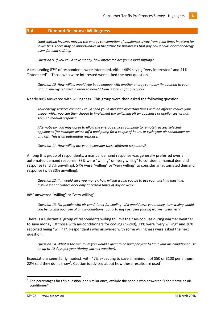#### <span id="page-7-0"></span>**3.4 Demand Response Willingness**

*Load shifting involves moving the energy consumption of appliances away from peak times in return for lower bills. There may be opportunities in the future for businesses that pay households or other energy users for load shifting.* 

*Question 9. If you could save money, how interested are you in load shifting?*

A resounding 87% of respondents were interested, either 46% saying "very interested" and 41% "interested". Those who were interested were asked the next question.

*Question 10. How willing would you be to engage with another energy company (in addition to your normal energy retailer) in order to benefit from a load shifting service?*

Nearly 80% answered with willingness. This group were then asked the following question.

*Your energy services company could send you a message at certain times with an offer to reduce your usage, which you can then choose to implement (by switching off an appliance or appliances) or not. This is a manual response.* 

*Alternatively, you may agree to allow the energy services company to remotely access selected appliances (for example switch off a pool pump for a couple of hours, or cycle your air conditioner on and off). This is an automated response.* 

*Question 11. How willing are you to consider these different responses?*

Among this group of respondents, a manual demand response was generally preferred over an automated demand response. 88% were "willing" or "very willing" to consider a manual demand response (and 7% unwilling). 57% were "willing" or "very willing" to consider an automated demand response (with 30% unwilling).

*Question 12. If it would save you money, how willing would you be to use your washing machine, dishwasher or clothes drier only at certain times of day or week?*

88% answered "willing" or "very willing".

*Question 13. For people with air-conditioner for cooling - If it would save you money, how willing would you be to limit your use of an air-conditioner up to 10 days per year (during warmer weather)?*

There is a substantial group of respondents willing to limit their air-con use during warmer weather to save money. Of those with air-conditioners for cooling (n=249), 31% were "very willing" and 30% reported being "willing". Respondents who answered with some willingness were asked the next question.

*Question 14. What is the minimum you would expect to be paid per year to limit your air-conditioner use on up to 10 days per year (during warmer weather).*

Expectations seem fairly modest, with 47% expecting to save a minimum of \$50 or \$100 per annum. 22% said they don't know<sup>4</sup>. Caution is advised about how these results are used<sup>5</sup>.

 $\overline{a}$ 

<sup>4</sup> The percentages for this question, and similar ones, exclude the people who answered "I don't have an airconditioner".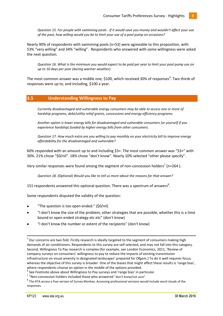*Question 15. For people with swimming pools - If it would save you money and wouldn't affect your use of the pool, how willing would you be to limit your use of a pool pump on occasions?*

Nearly 90% of respondents with swimming pools (n=53) were agreeable to this proposition, with 53% "very willing" and 34% "willing". Respondents who answered with some willingness were asked the next question.

*Question 16. What is the minimum you would expect to be paid per year to limit your pool pump use on up to 10 days per year (during warmer weather).*

The most common answer was a middle one, \$100, which received 30% of responses<sup>6</sup>. Two thirds of responses were up to, and including, \$100 a year.

#### <span id="page-8-0"></span>**3.5 Understanding Willingness to Pay**

*Currently disadvantaged and vulnerable energy consumers may be able to access one or more of hardship programs, debt/utility relief grants, concessions and energy efficiency programs.* 

*Another option is lower energy bills for disadvantaged and vulnerable consumers (or yourself if you experience hardship) funded by higher energy bills from other consumers.*

*Question 17. How much extra are you willing to pay monthly on your electricity bill to improve energy affordability for the disadvantaged and vulnerable?*

60% responded with an amount up to and including \$3+. The most common answer was "\$3+" with 30%. 21% chose "\$0/nil". 18% chose "don't know". Nearly 10% selected "other please specify".

Very similar responses were found among the segment of non-concession holders<sup>7</sup> (n=264).

*Question 18. (Optional) Would you like to tell us more about the reasons for that answer?*

151 respondents answered this optional question. There was a spectrum of answers<sup>8</sup>.

Some respondents disputed the validity of the question:

- "The question is too open ended." (\$0/nil)
- "I don't know the size of the problem, other strategies that are possible, whether this is a time bound or open ended strategy etc etc" (don't know)
- "I don't know the number or extent of the recipients" (don't know)

1

<sup>&</sup>lt;sup>5</sup> Our concerns are two fold. Firstly research is ideally targeted to the segment of consumers making high demands of air-conditioners. Respondents to this survey are self selected, and may not fall into this category. Second, Willingness To Pay research is complex (for example, see London Economics, 2011, 'Review of company surveys on consumers' willingness to pay to reduce the impacts of existing transmission infrastructure on visual amenity in designated landscapes' prepared for Ofgem.) To do it well requires focus, whereas the objective of this survey is broader. One of the biases that might affect these results is 'range bias', where respondents choose an option in the middle of the options provided.

 $^6$  See Footnote above about Willingness to Pay surveys and 'range bias' in particular.

 $7$  "Non-concession holders included those who answered "don't know/not sure".

<sup>&</sup>lt;sup>8</sup> The ATA access a free version of Survey Monkey. Accessing professional versions would include word clouds of the responses.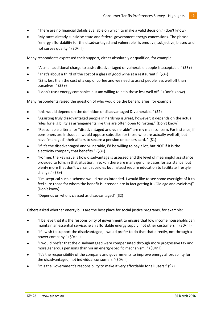- "There are no financial details available on which to make a valid decision." (don't know)
- "My taxes already subsidise state and federal government energy concessions. The phrase "energy affordability for the disadvantaged and vulnerable" is emotive, subjective, biased and not survey quality." (\$0/nil)

Many respondents expressed their support, either absolutely or qualified, for example:

- "A small additional charge to assist disadvantaged or vulnerable people is acceptable " $(53+)$
- "That's about a third of the cost of a glass of good wine at a restaurant!" (\$3+)
- "\$3 is less than the cost of a cup of coffee and we need to assist people less well off than ourselves. " (\$3+)
- "I don't trust energy companies but am willing to help those less well off. " (Don't know)

Many respondents raised the question of who would be the beneficiaries, for example:

- "this would depend on the definition of disadvantaged & vulnerable." (\$2)  $\bullet$
- "Assisting truly disadvantaged people in hardship is great, however; it depends on the actual rules for eligibility as arrangements like this are often open to rorting." (Don't know)
- "Reasonable criteria for "disadvantaged and vulnerable" are my main concern. For instance, if pensioners are included, I would oppose subsidies for those who are actually well off, but have "managed" their affairs to secure a pension or seniors card. " (\$1)
- "If it's the disadvantaged and vulnerable, I'd be willing to pay a lot, but NOT if it is the electricity company that benefits." (\$3+)
- "For me, the key issue is how disadvantage is assessed and the level of meaningful assistance provided to folks in that situation. I reckon there are many genuine cases for assistance, but plenty more that don't warrant subsidies but instead require education to facilitate lifestyle change." (\$3+)
- "I'm sceptical such a scheme would run as intended. I would like to see some oversight of it to feel sure those for whom the benefit is intended are in fact getting it. (Old age and cynicism)" (Don't know)
- "Depends on who is classed as disadvantaged" (\$2)

Others asked whether energy bills are the best place for social justice programs, for example:

- "I believe that it's the responsibility of government to ensure that low income households can maintain an essential service, ie an affordable energy supply, not other customers. " (\$0/nil)
- "If I wish to support the disadvantaged, I would prefer to do that that directly, not through a power company." (\$0/nil)
- "I would prefer that the disadvantaged were compensated through more progressive tax and more generous pensions than via an energy-specific mechanism. " (\$0/nil)
- "It's the responsibility of the company and governments to improve energy affordability for the disadvantaged, not individual consumers."(\$0/nil)
- "It is the Government's responsibility to make it very affordable for all users." (\$2)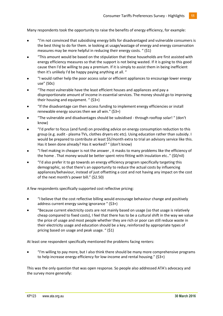Many respondents took the opportunity to raise the benefits of energy efficiency, for example:

- "I'm not convinced that subsidising energy bills for disadvantaged and vulnerable consumers is the best thing to do for them. ie looking at usage/wastage of energy and energy conservation measures may be more helpful in reducing their energy costs. " (\$1)
- "This amount would be based on the stipulation that these households are first assisted with energy efficiency measures so that the support is not being wasted. If it is going to this good cause then I'd be willing to pay a premium. If it is simply to assist them in being inefficient then it's unlikely I'd be happy paying anything at all. "
- "I would rather help the poor access solar or efficient appliances to encourage lower energy use" (50c)
- "The most vulnerable have the least efficient houses and appliances and pay a disproportionate amount of income in essential services. The money should go to improving their housing and equipment. " (\$3+)
- "If the disadvantage can then access funding to implement energy efficiencies or install renewable energy sources then we all win." (\$3+)
- "The vulnerable and disadvantages should be subsidised through rooftop solar! " (don't know)
- "I'd prefer to focus (and fund) on providing advice on energy consumption reduction to this group (e.g. audit - plasma TVs, clothes dryers etc etc). Using education rather than subsidy. I would be prepared to contribute at least \$5/month extra to trial an advisory service like this. Has it been done already? Has it worked? " (don't know)
- "I feel making in cheaper is not the answer , it masks to many problems like the efficiency of the home . That money would be better spent retro fitting with insulation etc.." (\$0/nil)
- "I'd also prefer it to go towards an energy efficiency program specifically targeting this demographic, so that there's an opportunity to reduce the actual costs by influencing appliances/behaviour, instead of just offsetting a cost and not having any impact on the cost of the next month's power bill." (\$2.50)

A few respondents specifically supported cost reflective pricing:

- "I believe that the cost reflective billing would encourage behaviour change and positively address current energy saving ignorance " (\$3+)
- "Because current electricity costs are not mainly based on usage (so that usage is relatively cheap compared to fixed costs), I feel that there has to be a cultural shift in the way we value the price of usage and most people whether they are rich or poor can still reduce waste in their electricity usage and education should be a key, reinforced by appropriate types of pricing based on usage and peak usage. " (\$1)

At least one respondent specifically mentioned the problems facing renters:

"I'm willing to pay more, but I also think there should be many more comprehensive programs to help increase energy efficiency for low-income and rental housing." (\$3+)

This was the only question that was open response. So people also addressed ATA's advocacy and the survey more generally: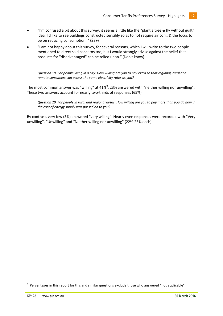- "I'm confused a bit about this survey, it seems a little like the "plant a tree & fly without guilt" idea, I'd like to see buildings constructed sensibly so as to not require air con., & the focus to be on reducing consumption. " (\$3+)
- "I am not happy about this survey, for several reasons, which I will write to the two people mentioned to direct said concerns too, but I would strongly advise against the belief that products for "disadvantaged" can be relied upon." (Don't know)

*Question 19. For people living in a city: How willing are you to pay extra so that regional, rural and remote consumers can access the same electricity rates as you?*

The most common answer was "willing" at 41%<sup>9</sup>. 23% answered with "neither willing nor unwilling". These two answers account for nearly two-thirds of responses (65%).

*Question 20. For people in rural and regional areas: How willing are you to pay more than you do now if the cost of energy supply was passed on to you?*

By contrast, very few (3%) answered "very willing". Nearly even responses were recorded with "Very unwilling", "Unwilling" and "Neither willing nor unwilling" (22%-23% each).

**.** 

<sup>9</sup> Percentages in this report for this and similar questions exclude those who answered "not applicable".